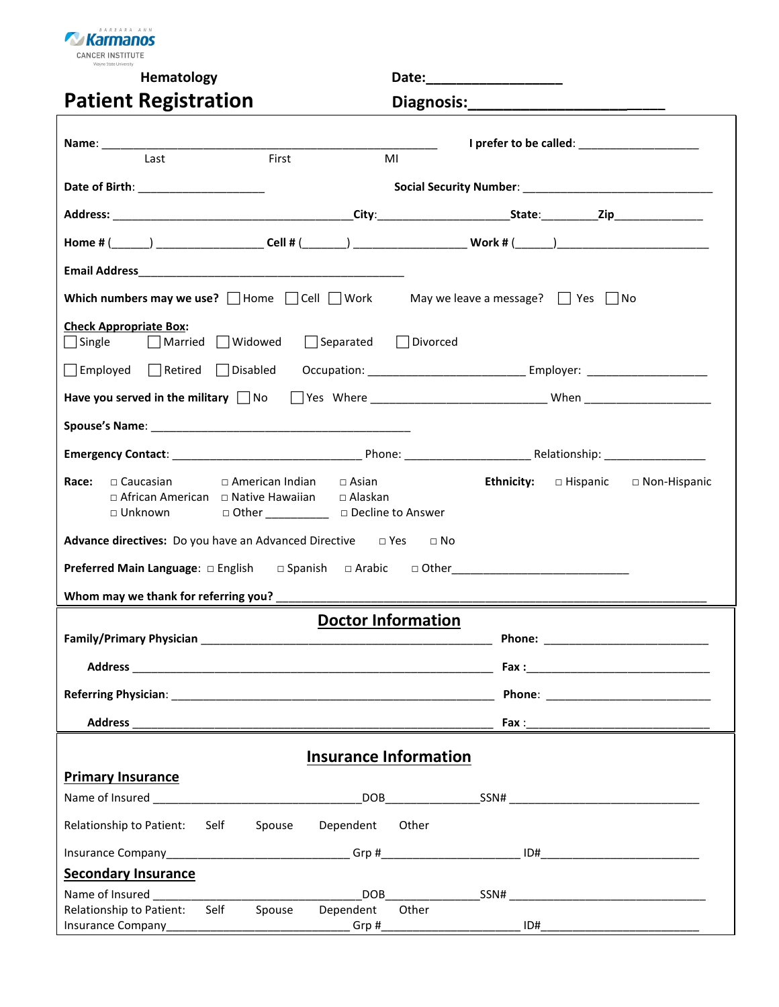

**Hematology Date:\_\_\_\_\_\_\_\_\_\_\_\_\_\_\_\_\_\_** 

#### Patient Registration **Diagnosis:** Diagnosis:

|  |  |  | Diagnosis <sup>.</sup> |  |
|--|--|--|------------------------|--|

|                                                                                               |                                                                                   | I prefer to be called: ___________________                                                                                                                                                                                               |
|-----------------------------------------------------------------------------------------------|-----------------------------------------------------------------------------------|------------------------------------------------------------------------------------------------------------------------------------------------------------------------------------------------------------------------------------------|
| Last                                                                                          | First                                                                             | MI                                                                                                                                                                                                                                       |
| Date of Birth: _________________________                                                      |                                                                                   |                                                                                                                                                                                                                                          |
|                                                                                               |                                                                                   |                                                                                                                                                                                                                                          |
|                                                                                               |                                                                                   | Home # (______) ________________________Cell # (_______) ________________________Work # (______) ___________________                                                                                                                     |
|                                                                                               |                                                                                   |                                                                                                                                                                                                                                          |
|                                                                                               |                                                                                   | Which numbers may we use? $\Box$ Home $\Box$ Cell $\Box$ Work May we leave a message? $\Box$ Yes $\Box$ No                                                                                                                               |
| <b>Check Appropriate Box:</b><br>$\Box$ Single $\Box$ Married $\Box$ Widowed                  | $\Box$ Separated $\Box$ Divorced                                                  |                                                                                                                                                                                                                                          |
|                                                                                               |                                                                                   |                                                                                                                                                                                                                                          |
|                                                                                               |                                                                                   | Have you served in the military Mo Mes Where ___________________________When _________________________________                                                                                                                           |
|                                                                                               |                                                                                   |                                                                                                                                                                                                                                          |
|                                                                                               |                                                                                   |                                                                                                                                                                                                                                          |
| Race:<br>$\Box$ Caucasian<br>□ African American □ Native Hawaiian □ Alaskan<br>$\Box$ Unknown | $\Box$ American Indian $\Box$ Asian<br>□ Other ______________ □ Decline to Answer | Ethnicity: $\Box$ Hispanic $\Box$ Non-Hispanic                                                                                                                                                                                           |
| <b>Advance directives:</b> Do you have an Advanced Directive $\Box$ Yes $\Box$ No             |                                                                                   |                                                                                                                                                                                                                                          |
|                                                                                               |                                                                                   | <b>Preferred Main Language:</b> □ English   □ Spanish   □ Arabic   □ Other <u>100 × 100 × 100 × 100 × 100 × 100 × 100 × 100 × 100 × 100 × 100 × 100 × 100 × 100 × 100 × 100 × 100 × 100 × 100 × 100 × 100 × 100 × 100 × 100 × 100 × </u> |
|                                                                                               |                                                                                   |                                                                                                                                                                                                                                          |
|                                                                                               |                                                                                   | <b>Doctor Information</b>                                                                                                                                                                                                                |
|                                                                                               |                                                                                   |                                                                                                                                                                                                                                          |
|                                                                                               |                                                                                   |                                                                                                                                                                                                                                          |
|                                                                                               |                                                                                   | <b>Phone:</b> The contract of the contract of the contract of the contract of the contract of the contract of the contract of the contract of the contract of the contract of the contract of the contract of the contract of the c      |
| Address_                                                                                      |                                                                                   |                                                                                                                                                                                                                                          |
|                                                                                               |                                                                                   | <b>Insurance Information</b>                                                                                                                                                                                                             |
| <b>Primary Insurance</b>                                                                      |                                                                                   |                                                                                                                                                                                                                                          |
|                                                                                               |                                                                                   |                                                                                                                                                                                                                                          |
| Relationship to Patient: Self                                                                 | Spouse Dependent Other                                                            |                                                                                                                                                                                                                                          |
|                                                                                               |                                                                                   |                                                                                                                                                                                                                                          |
| <b>Secondary Insurance</b>                                                                    |                                                                                   |                                                                                                                                                                                                                                          |
| Name of Insured Name of Insured                                                               |                                                                                   | DOB SSN#                                                                                                                                                                                                                                 |
| Relationship to Patient: Self                                                                 | Spouse<br>Dependent                                                               | Other                                                                                                                                                                                                                                    |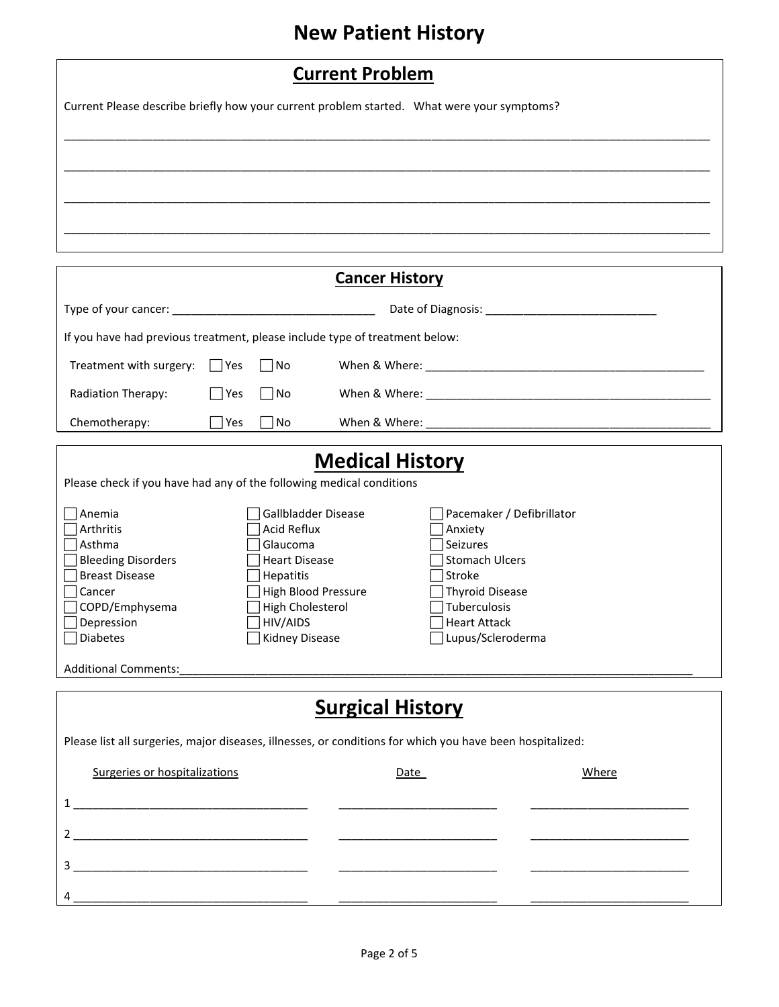# **New Patient History**

| <b>Current Problem</b>                                                                     |  |  |  |  |
|--------------------------------------------------------------------------------------------|--|--|--|--|
| Current Please describe briefly how your current problem started. What were your symptoms? |  |  |  |  |
|                                                                                            |  |  |  |  |
|                                                                                            |  |  |  |  |
|                                                                                            |  |  |  |  |
|                                                                                            |  |  |  |  |
|                                                                                            |  |  |  |  |

|                                                                                                           |      |                                  | <b>Cancer History</b>                               |       |
|-----------------------------------------------------------------------------------------------------------|------|----------------------------------|-----------------------------------------------------|-------|
|                                                                                                           |      |                                  |                                                     |       |
| If you have had previous treatment, please include type of treatment below:                               |      |                                  |                                                     |       |
| Treatment with surgery:                                                                                   | Yes  | $\Box$ No                        |                                                     |       |
| Radiation Therapy:                                                                                        | √Yes | No                               |                                                     |       |
| Chemotherapy:                                                                                             | Yes  | l No                             |                                                     |       |
| Please check if you have had any of the following medical conditions<br>Anemia                            |      | Gallbladder Disease              | <b>Medical History</b><br>Pacemaker / Defibrillator |       |
| Arthritis                                                                                                 |      | <b>Acid Reflux</b>               | Anxiety                                             |       |
| Asthma<br>Bleeding Disorders                                                                              |      | Glaucoma<br><b>Heart Disease</b> | Seizures<br>Stomach Ulcers                          |       |
| <b>Breast Disease</b>                                                                                     |      | Hepatitis                        | Stroke                                              |       |
| Cancer                                                                                                    |      | High Blood Pressure              | Thyroid Disease                                     |       |
| COPD/Emphysema                                                                                            |      | High Cholesterol<br>HIV/AIDS     | Tuberculosis<br>Heart Attack                        |       |
| Depression<br>Diabetes                                                                                    |      | Kidney Disease                   | Lupus/Scleroderma                                   |       |
| <b>Additional Comments:</b>                                                                               |      |                                  |                                                     |       |
|                                                                                                           |      |                                  | <b>Surgical History</b>                             |       |
| Please list all surgeries, major diseases, illnesses, or conditions for which you have been hospitalized: |      |                                  |                                                     |       |
| Surgeries or hospitalizations                                                                             |      |                                  | Date                                                | Where |
|                                                                                                           |      |                                  |                                                     |       |
|                                                                                                           |      |                                  |                                                     |       |
| <u> 1980 - Johann Barbara, martxa alemaniar a</u><br>3                                                    |      |                                  |                                                     |       |
| 4                                                                                                         |      |                                  |                                                     |       |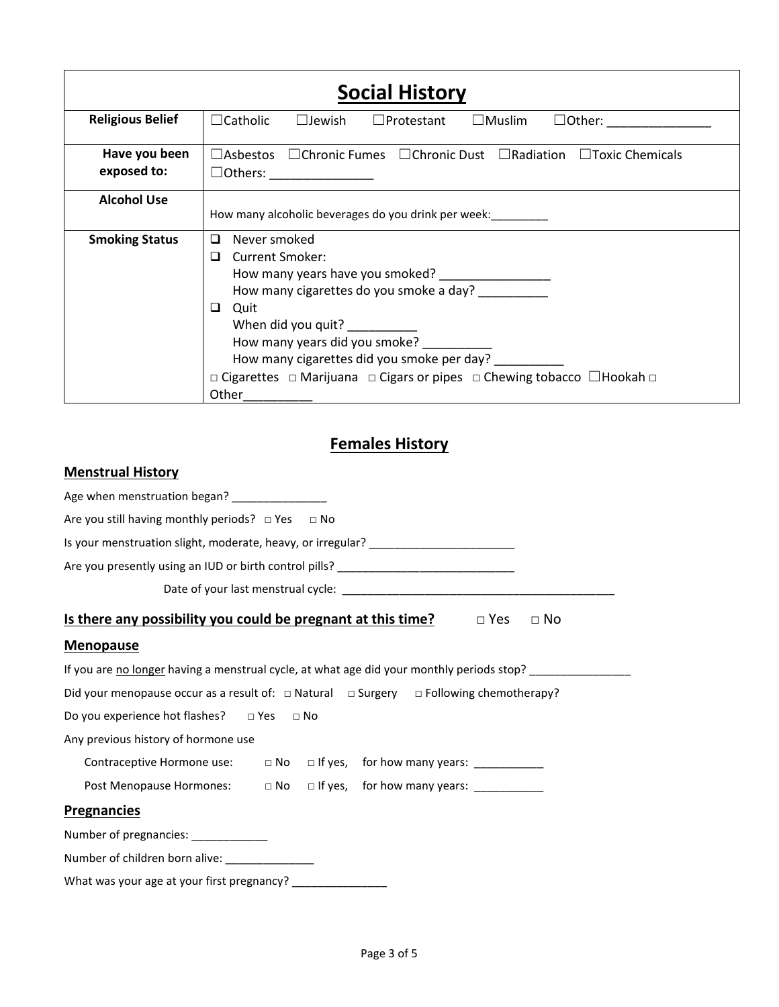| <b>Social History</b>        |                                                                                                                                                                                                                                                                                                        |  |  |  |
|------------------------------|--------------------------------------------------------------------------------------------------------------------------------------------------------------------------------------------------------------------------------------------------------------------------------------------------------|--|--|--|
| <b>Religious Belief</b>      | $\Box$ Protestant $\Box$ Muslim<br>$\Box$ Catholic<br>$\square$ Jewish                                                                                                                                                                                                                                 |  |  |  |
| Have you been<br>exposed to: | $\Box$ Asbestos $\Box$ Chronic Fumes $\Box$ Chronic Dust $\Box$ Radiation $\Box$ Toxic Chemicals                                                                                                                                                                                                       |  |  |  |
| <b>Alcohol Use</b>           | How many alcoholic beverages do you drink per week:                                                                                                                                                                                                                                                    |  |  |  |
| <b>Smoking Status</b>        | $\Box$<br>Never smoked<br><b>Current Smoker:</b><br>◻<br>How many cigarettes do you smoke a day?<br>Quit<br>⊔<br>When did you quit?<br>How many years did you smoke?<br>How many cigarettes did you smoke per day?<br>□ Cigarettes □ Marijuana □ Cigars or pipes □ Chewing tobacco □ Hookah □<br>Other |  |  |  |

#### **Females History**

| <b>Menstrual History</b>                                                                              |
|-------------------------------------------------------------------------------------------------------|
| Age when menstruation began? _________________                                                        |
| Are you still having monthly periods? $\Box$ Yes $\Box$ No                                            |
| Is your menstruation slight, moderate, heavy, or irregular? ____________________                      |
| Are you presently using an IUD or birth control pills? __________________________                     |
|                                                                                                       |
| <u>Is there any possibility you could be pregnant at this time?</u><br>$\Box$ Yes<br>$\Box$ No        |
| <b>Menopause</b>                                                                                      |
| If you are no longer having a menstrual cycle, at what age did your monthly periods stop? ________    |
| Did your menopause occur as a result of: $\Box$ Natural $\Box$ Surgery $\Box$ Following chemotherapy? |
| Do you experience hot flashes? $\Box$ Yes $\Box$ No                                                   |
| Any previous history of hormone use                                                                   |
| Contraceptive Hormone use: □ No □ If yes, for how many years: ____________                            |
| Post Menopause Hormones: a No alf yes, for how many years: _____________________                      |
| <b>Pregnancies</b>                                                                                    |
| Number of pregnancies: ___________                                                                    |
| Number of children born alive: _______________                                                        |
| What was your age at your first pregnancy? ________________                                           |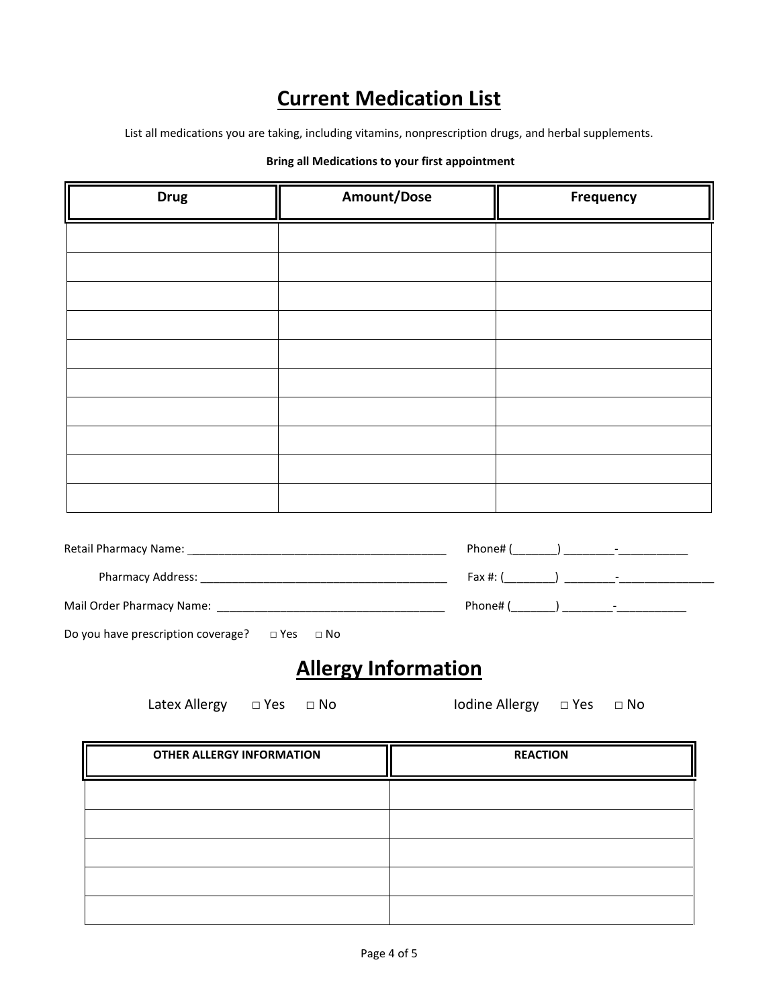## **Current Medication List**

List all medications you are taking, including vitamins, nonprescription drugs, and herbal supplements.

#### **Bring all Medications to your first appointment**

| <b>Drug</b> | Amount/Dose | Frequency |
|-------------|-------------|-----------|
|             |             |           |
|             |             |           |
|             |             |           |
|             |             |           |
|             |             |           |
|             |             |           |
|             |             |           |
|             |             |           |
|             |             |           |
|             |             |           |
|             |             |           |

Pharmacy Address: \_\_\_\_\_\_\_\_\_\_\_\_\_\_\_\_\_\_\_\_\_\_\_\_\_\_\_\_\_\_\_\_\_\_\_\_\_\_\_ Fax #: (\_\_\_\_\_\_\_\_) \_\_\_\_\_\_\_\_-\_\_\_\_\_\_\_\_\_\_\_\_\_\_\_

| Mail Order Pharmacy Name: |  |  |
|---------------------------|--|--|
|                           |  |  |

| Do you have prescription coverage?<br>$\Box$ Yes $\Box$ No |  |
|------------------------------------------------------------|--|
|------------------------------------------------------------|--|

### **Allergy Information**

Latex Allergy □ Yes □ No Iodine Allergy □ Yes □ No

| <b>OTHER ALLERGY INFORMATION</b> | <b>REACTION</b> |
|----------------------------------|-----------------|
|                                  |                 |
|                                  |                 |
|                                  |                 |
|                                  |                 |
|                                  |                 |